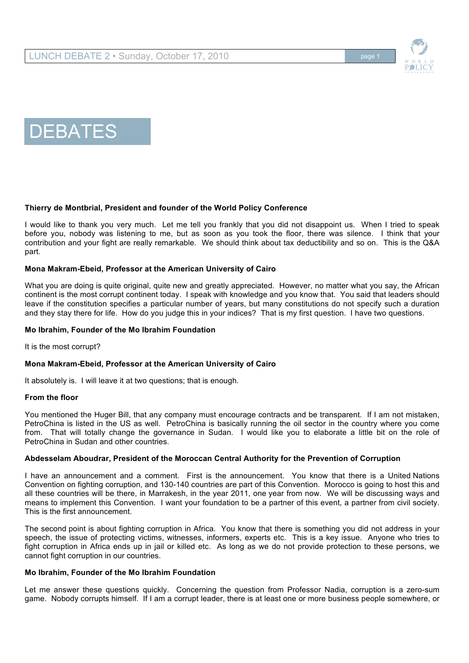



## **Thierry de Montbrial, President and founder of the World Policy Conference**

I would like to thank you very much. Let me tell you frankly that you did not disappoint us. When I tried to speak before you, nobody was listening to me, but as soon as you took the floor, there was silence. I think that your contribution and your fight are really remarkable. We should think about tax deductibility and so on. This is the Q&A part.

### **Mona Makram-Ebeid, Professor at the American University of Cairo**

What you are doing is quite original, quite new and greatly appreciated. However, no matter what you say, the African continent is the most corrupt continent today. I speak with knowledge and you know that. You said that leaders should leave if the constitution specifies a particular number of years, but many constitutions do not specify such a duration and they stay there for life. How do you judge this in your indices? That is my first question. I have two questions.

#### **Mo Ibrahim, Founder of the Mo Ibrahim Foundation**

It is the most corrupt?

### **Mona Makram-Ebeid, Professor at the American University of Cairo**

It absolutely is. I will leave it at two questions; that is enough.

#### **From the floor**

You mentioned the Huger Bill, that any company must encourage contracts and be transparent. If I am not mistaken, PetroChina is listed in the US as well. PetroChina is basically running the oil sector in the country where you come from. That will totally change the governance in Sudan. I would like you to elaborate a little bit on the role of PetroChina in Sudan and other countries.

### **Abdesselam Aboudrar, President of the Moroccan Central Authority for the Prevention of Corruption**

I have an announcement and a comment. First is the announcement. You know that there is a United Nations Convention on fighting corruption, and 130-140 countries are part of this Convention. Morocco is going to host this and all these countries will be there, in Marrakesh, in the year 2011, one year from now. We will be discussing ways and means to implement this Convention. I want your foundation to be a partner of this event, a partner from civil society. This is the first announcement.

The second point is about fighting corruption in Africa. You know that there is something you did not address in your speech, the issue of protecting victims, witnesses, informers, experts etc. This is a key issue. Anyone who tries to fight corruption in Africa ends up in jail or killed etc. As long as we do not provide protection to these persons, we cannot fight corruption in our countries.

### **Mo Ibrahim, Founder of the Mo Ibrahim Foundation**

Let me answer these questions quickly. Concerning the question from Professor Nadia, corruption is a zero-sum game. Nobody corrupts himself. If I am a corrupt leader, there is at least one or more business people somewhere, or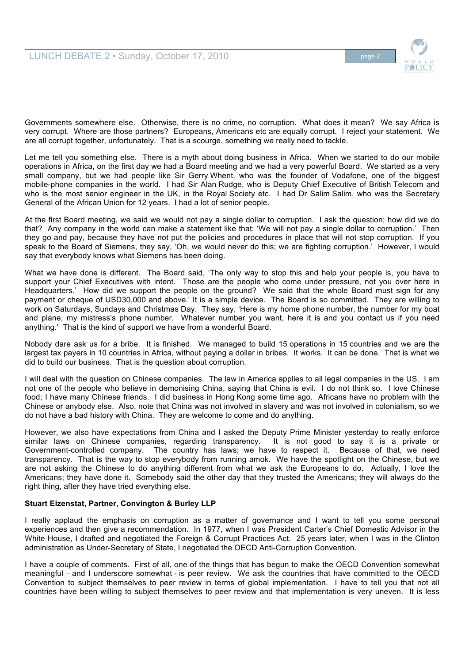

Governments somewhere else. Otherwise, there is no crime, no corruption. What does it mean? We say Africa is very corrupt. Where are those partners? Europeans, Americans etc are equally corrupt. I reject your statement. We are all corrupt together, unfortunately. That is a scourge, something we really need to tackle.

Let me tell you something else. There is a myth about doing business in Africa. When we started to do our mobile operations in Africa, on the first day we had a Board meeting and we had a very powerful Board. We started as a very small company, but we had people like Sir Gerry Whent, who was the founder of Vodafone, one of the biggest mobile-phone companies in the world. I had Sir Alan Rudge, who is Deputy Chief Executive of British Telecom and who is the most senior engineer in the UK, in the Royal Society etc. I had Dr Salim Salim, who was the Secretary General of the African Union for 12 years. I had a lot of senior people.

At the first Board meeting, we said we would not pay a single dollar to corruption. I ask the question; how did we do that? Any company in the world can make a statement like that: 'We will not pay a single dollar to corruption.' Then they go and pay, because they have not put the policies and procedures in place that will not stop corruption. If you speak to the Board of Siemens, they say, 'Oh, we would never do this; we are fighting corruption.' However, I would say that everybody knows what Siemens has been doing.

What we have done is different. The Board said, 'The only way to stop this and help your people is, you have to support your Chief Executives with intent. Those are the people who come under pressure, not you over here in Headquarters.' How did we support the people on the ground? We said that the whole Board must sign for any payment or cheque of USD30,000 and above.' It is a simple device. The Board is so committed. They are willing to work on Saturdays, Sundays and Christmas Day. They say, 'Here is my home phone number, the number for my boat and plane, my mistress's phone number. Whatever number you want, here it is and you contact us if you need anything.' That is the kind of support we have from a wonderful Board.

Nobody dare ask us for a bribe. It is finished. We managed to build 15 operations in 15 countries and we are the largest tax payers in 10 countries in Africa, without paying a dollar in bribes. It works. It can be done. That is what we did to build our business. That is the question about corruption.

I will deal with the question on Chinese companies. The law in America applies to all legal companies in the US. I am not one of the people who believe in demonising China, saying that China is evil. I do not think so. I love Chinese food; I have many Chinese friends. I did business in Hong Kong some time ago. Africans have no problem with the Chinese or anybody else. Also, note that China was not involved in slavery and was not involved in colonialism, so we do not have a bad history with China. They are welcome to come and do anything.

However, we also have expectations from China and I asked the Deputy Prime Minister yesterday to really enforce similar laws on Chinese companies, regarding transparency. It is not good to say it is a private or Government-controlled company. The country has laws; we have to respect it. Because of that, we need transparency. That is the way to stop everybody from running amok. We have the spotlight on the Chinese, but we are not asking the Chinese to do anything different from what we ask the Europeans to do. Actually, I love the Americans; they have done it. Somebody said the other day that they trusted the Americans; they will always do the right thing, after they have tried everything else.

# **Stuart Eizenstat, Partner, Convington & Burley LLP**

I really applaud the emphasis on corruption as a matter of governance and I want to tell you some personal experiences and then give a recommendation. In 1977, when I was President Carter's Chief Domestic Advisor in the White House, I drafted and negotiated the Foreign & Corrupt Practices Act. 25 years later, when I was in the Clinton administration as Under-Secretary of State, I negotiated the OECD Anti-Corruption Convention.

I have a couple of comments. First of all, one of the things that has begun to make the OECD Convention somewhat meaningful – and I underscore somewhat - is peer review. We ask the countries that have committed to the OECD Convention to subject themselves to peer review in terms of global implementation. I have to tell you that not all countries have been willing to subject themselves to peer review and that implementation is very uneven. It is less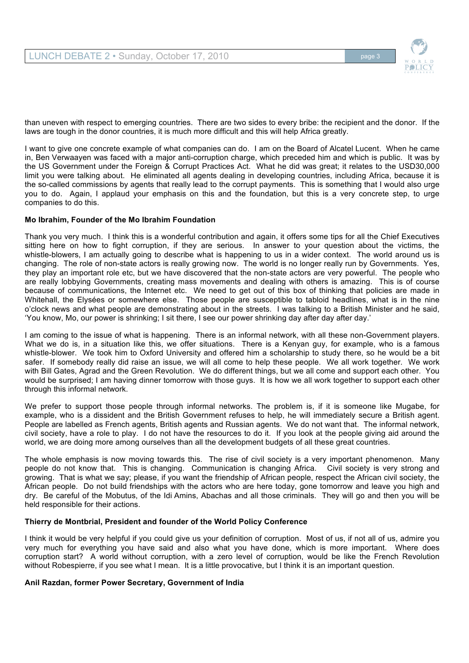

than uneven with respect to emerging countries. There are two sides to every bribe: the recipient and the donor. If the laws are tough in the donor countries, it is much more difficult and this will help Africa greatly.

I want to give one concrete example of what companies can do. I am on the Board of Alcatel Lucent. When he came in, Ben Verwaayen was faced with a major anti-corruption charge, which preceded him and which is public. It was by the US Government under the Foreign & Corrupt Practices Act. What he did was great; it relates to the USD30,000 limit you were talking about. He eliminated all agents dealing in developing countries, including Africa, because it is the so-called commissions by agents that really lead to the corrupt payments. This is something that I would also urge you to do. Again, I applaud your emphasis on this and the foundation, but this is a very concrete step, to urge companies to do this.

## **Mo Ibrahim, Founder of the Mo Ibrahim Foundation**

Thank you very much. I think this is a wonderful contribution and again, it offers some tips for all the Chief Executives sitting here on how to fight corruption, if they are serious. In answer to your question about the victims, the whistle-blowers, I am actually going to describe what is happening to us in a wider context. The world around us is changing. The role of non-state actors is really growing now. The world is no longer really run by Governments. Yes, they play an important role etc, but we have discovered that the non-state actors are very powerful. The people who are really lobbying Governments, creating mass movements and dealing with others is amazing. This is of course because of communications, the Internet etc. We need to get out of this box of thinking that policies are made in Whitehall, the Elysées or somewhere else. Those people are susceptible to tabloid headlines, what is in the nine o'clock news and what people are demonstrating about in the streets. I was talking to a British Minister and he said, 'You know, Mo, our power is shrinking; I sit there, I see our power shrinking day after day after day.'

I am coming to the issue of what is happening. There is an informal network, with all these non-Government players. What we do is, in a situation like this, we offer situations. There is a Kenyan guy, for example, who is a famous whistle-blower. We took him to Oxford University and offered him a scholarship to study there, so he would be a bit safer. If somebody really did raise an issue, we will all come to help these people. We all work together. We work with Bill Gates, Agrad and the Green Revolution. We do different things, but we all come and support each other. You would be surprised; I am having dinner tomorrow with those guys. It is how we all work together to support each other through this informal network.

We prefer to support those people through informal networks. The problem is, if it is someone like Mugabe, for example, who is a dissident and the British Government refuses to help, he will immediately secure a British agent. People are labelled as French agents, British agents and Russian agents. We do not want that. The informal network, civil society, have a role to play. I do not have the resources to do it. If you look at the people giving aid around the world, we are doing more among ourselves than all the development budgets of all these great countries.

The whole emphasis is now moving towards this. The rise of civil society is a very important phenomenon. Many people do not know that. This is changing. Communication is changing Africa. Civil society is very strong and growing. That is what we say; please, if you want the friendship of African people, respect the African civil society, the African people. Do not build friendships with the actors who are here today, gone tomorrow and leave you high and dry. Be careful of the Mobutus, of the Idi Amins, Abachas and all those criminals. They will go and then you will be held responsible for their actions.

### **Thierry de Montbrial, President and founder of the World Policy Conference**

I think it would be very helpful if you could give us your definition of corruption. Most of us, if not all of us, admire you very much for everything you have said and also what you have done, which is more important. Where does corruption start? A world without corruption, with a zero level of corruption, would be like the French Revolution without Robespierre, if you see what I mean. It is a little provocative, but I think it is an important question.

### **Anil Razdan, former Power Secretary, Government of India**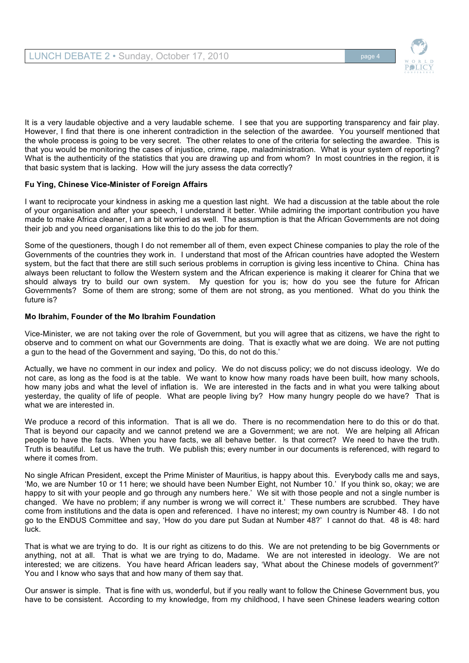

It is a very laudable objective and a very laudable scheme. I see that you are supporting transparency and fair play. However, I find that there is one inherent contradiction in the selection of the awardee. You yourself mentioned that the whole process is going to be very secret. The other relates to one of the criteria for selecting the awardee. This is that you would be monitoring the cases of injustice, crime, rape, maladministration. What is your system of reporting? What is the authenticity of the statistics that you are drawing up and from whom? In most countries in the region, it is that basic system that is lacking. How will the jury assess the data correctly?

# **Fu Ying, Chinese Vice-Minister of Foreign Affairs**

I want to reciprocate your kindness in asking me a question last night. We had a discussion at the table about the role of your organisation and after your speech, I understand it better. While admiring the important contribution you have made to make Africa cleaner, I am a bit worried as well. The assumption is that the African Governments are not doing their job and you need organisations like this to do the job for them.

Some of the questioners, though I do not remember all of them, even expect Chinese companies to play the role of the Governments of the countries they work in. I understand that most of the African countries have adopted the Western system, but the fact that there are still such serious problems in corruption is giving less incentive to China. China has always been reluctant to follow the Western system and the African experience is making it clearer for China that we should always try to build our own system. My question for you is; how do you see the future for African Governments? Some of them are strong; some of them are not strong, as you mentioned. What do you think the future is?

### **Mo Ibrahim, Founder of the Mo Ibrahim Foundation**

Vice-Minister, we are not taking over the role of Government, but you will agree that as citizens, we have the right to observe and to comment on what our Governments are doing. That is exactly what we are doing. We are not putting a gun to the head of the Government and saying, 'Do this, do not do this.'

Actually, we have no comment in our index and policy. We do not discuss policy; we do not discuss ideology. We do not care, as long as the food is at the table. We want to know how many roads have been built, how many schools, how many jobs and what the level of inflation is. We are interested in the facts and in what you were talking about yesterday, the quality of life of people. What are people living by? How many hungry people do we have? That is what we are interested in.

We produce a record of this information. That is all we do. There is no recommendation here to do this or do that. That is beyond our capacity and we cannot pretend we are a Government; we are not. We are helping all African people to have the facts. When you have facts, we all behave better. Is that correct? We need to have the truth. Truth is beautiful. Let us have the truth. We publish this; every number in our documents is referenced, with regard to where it comes from.

No single African President, except the Prime Minister of Mauritius, is happy about this. Everybody calls me and says, 'Mo, we are Number 10 or 11 here; we should have been Number Eight, not Number 10.' If you think so, okay; we are happy to sit with your people and go through any numbers here.' We sit with those people and not a single number is changed. We have no problem; if any number is wrong we will correct it.' These numbers are scrubbed. They have come from institutions and the data is open and referenced. I have no interest; my own country is Number 48. I do not go to the ENDUS Committee and say, 'How do you dare put Sudan at Number 48?' I cannot do that. 48 is 48: hard luck.

That is what we are trying to do. It is our right as citizens to do this. We are not pretending to be big Governments or anything, not at all. That is what we are trying to do, Madame. We are not interested in ideology. We are not interested; we are citizens. You have heard African leaders say, 'What about the Chinese models of government?' You and I know who says that and how many of them say that.

Our answer is simple. That is fine with us, wonderful, but if you really want to follow the Chinese Government bus, you have to be consistent. According to my knowledge, from my childhood, I have seen Chinese leaders wearing cotton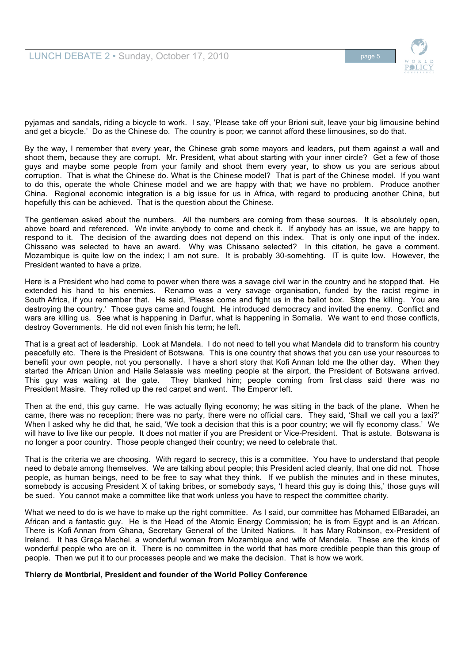

pyjamas and sandals, riding a bicycle to work. I say, 'Please take off your Brioni suit, leave your big limousine behind and get a bicycle.' Do as the Chinese do. The country is poor; we cannot afford these limousines, so do that.

By the way, I remember that every year, the Chinese grab some mayors and leaders, put them against a wall and shoot them, because they are corrupt. Mr. President, what about starting with your inner circle? Get a few of those guys and maybe some people from your family and shoot them every year, to show us you are serious about corruption. That is what the Chinese do. What is the Chinese model? That is part of the Chinese model. If you want to do this, operate the whole Chinese model and we are happy with that; we have no problem. Produce another China. Regional economic integration is a big issue for us in Africa, with regard to producing another China, but hopefully this can be achieved. That is the question about the Chinese.

The gentleman asked about the numbers. All the numbers are coming from these sources. It is absolutely open, above board and referenced. We invite anybody to come and check it. If anybody has an issue, we are happy to respond to it. The decision of the awarding does not depend on this index. That is only one input of the index. Chissano was selected to have an award. Why was Chissano selected? In this citation, he gave a comment. Mozambique is quite low on the index; I am not sure. It is probably 30-somehting. IT is quite low. However, the President wanted to have a prize.

Here is a President who had come to power when there was a savage civil war in the country and he stopped that. He extended his hand to his enemies. Renamo was a very savage organisation, funded by the racist regime in South Africa, if you remember that. He said, 'Please come and fight us in the ballot box. Stop the killing. You are destroying the country.' Those guys came and fought. He introduced democracy and invited the enemy. Conflict and wars are killing us. See what is happening in Darfur, what is happening in Somalia. We want to end those conflicts, destroy Governments. He did not even finish his term; he left.

That is a great act of leadership. Look at Mandela. I do not need to tell you what Mandela did to transform his country peacefully etc. There is the President of Botswana. This is one country that shows that you can use your resources to benefit your own people, not you personally. I have a short story that Kofi Annan told me the other day. When they started the African Union and Haile Selassie was meeting people at the airport, the President of Botswana arrived. This guy was waiting at the gate. They blanked him; people coming from first class said there was no President Masire. They rolled up the red carpet and went. The Emperor left.

Then at the end, this guy came. He was actually flying economy; he was sitting in the back of the plane. When he came, there was no reception; there was no party, there were no official cars. They said, 'Shall we call you a taxi?' When I asked why he did that, he said, 'We took a decision that this is a poor country; we will fly economy class.' We will have to live like our people. It does not matter if you are President or Vice-President. That is astute. Botswana is no longer a poor country. Those people changed their country; we need to celebrate that.

That is the criteria we are choosing. With regard to secrecy, this is a committee. You have to understand that people need to debate among themselves. We are talking about people; this President acted cleanly, that one did not. Those people, as human beings, need to be free to say what they think. If we publish the minutes and in these minutes, somebody is accusing President X of taking bribes, or somebody says, 'I heard this guy is doing this,' those guys will be sued. You cannot make a committee like that work unless you have to respect the committee charity.

What we need to do is we have to make up the right committee. As I said, our committee has Mohamed ElBaradei, an African and a fantastic guy. He is the Head of the Atomic Energy Commission; he is from Egypt and is an African. There is Kofi Annan from Ghana, Secretary General of the United Nations. It has Mary Robinson, ex-President of Ireland. It has Graça Machel, a wonderful woman from Mozambique and wife of Mandela. These are the kinds of wonderful people who are on it. There is no committee in the world that has more credible people than this group of people. Then we put it to our processes people and we make the decision. That is how we work.

### **Thierry de Montbrial, President and founder of the World Policy Conference**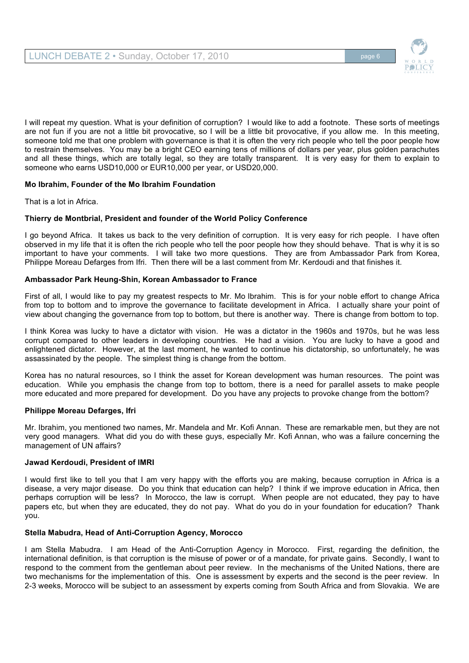

I will repeat my question. What is your definition of corruption? I would like to add a footnote. These sorts of meetings are not fun if you are not a little bit provocative, so I will be a little bit provocative, if you allow me. In this meeting, someone told me that one problem with governance is that it is often the very rich people who tell the poor people how to restrain themselves. You may be a bright CEO earning tens of millions of dollars per year, plus golden parachutes and all these things, which are totally legal, so they are totally transparent. It is very easy for them to explain to someone who earns USD10,000 or EUR10,000 per year, or USD20,000.

# **Mo Ibrahim, Founder of the Mo Ibrahim Foundation**

That is a lot in Africa.

## **Thierry de Montbrial, President and founder of the World Policy Conference**

I go beyond Africa. It takes us back to the very definition of corruption. It is very easy for rich people. I have often observed in my life that it is often the rich people who tell the poor people how they should behave. That is why it is so important to have your comments. I will take two more questions. They are from Ambassador Park from Korea, Philippe Moreau Defarges from Ifri. Then there will be a last comment from Mr. Kerdoudi and that finishes it.

## **Ambassador Park Heung-Shin, Korean Ambassador to France**

First of all, I would like to pay my greatest respects to Mr. Mo Ibrahim. This is for your noble effort to change Africa from top to bottom and to improve the governance to facilitate development in Africa. I actually share your point of view about changing the governance from top to bottom, but there is another way. There is change from bottom to top.

I think Korea was lucky to have a dictator with vision. He was a dictator in the 1960s and 1970s, but he was less corrupt compared to other leaders in developing countries. He had a vision. You are lucky to have a good and enlightened dictator. However, at the last moment, he wanted to continue his dictatorship, so unfortunately, he was assassinated by the people. The simplest thing is change from the bottom.

Korea has no natural resources, so I think the asset for Korean development was human resources. The point was education. While you emphasis the change from top to bottom, there is a need for parallel assets to make people more educated and more prepared for development. Do you have any projects to provoke change from the bottom?

### **Philippe Moreau Defarges, Ifri**

Mr. Ibrahim, you mentioned two names, Mr. Mandela and Mr. Kofi Annan. These are remarkable men, but they are not very good managers. What did you do with these guys, especially Mr. Kofi Annan, who was a failure concerning the management of UN affairs?

### **Jawad Kerdoudi, President of IMRI**

I would first like to tell you that I am very happy with the efforts you are making, because corruption in Africa is a disease, a very major disease. Do you think that education can help? I think if we improve education in Africa, then perhaps corruption will be less? In Morocco, the law is corrupt. When people are not educated, they pay to have papers etc, but when they are educated, they do not pay. What do you do in your foundation for education? Thank you.

### **Stella Mabudra, Head of Anti-Corruption Agency, Morocco**

I am Stella Mabudra. I am Head of the Anti-Corruption Agency in Morocco. First, regarding the definition, the international definition, is that corruption is the misuse of power or of a mandate, for private gains. Secondly, I want to respond to the comment from the gentleman about peer review. In the mechanisms of the United Nations, there are two mechanisms for the implementation of this. One is assessment by experts and the second is the peer review. In 2-3 weeks, Morocco will be subject to an assessment by experts coming from South Africa and from Slovakia. We are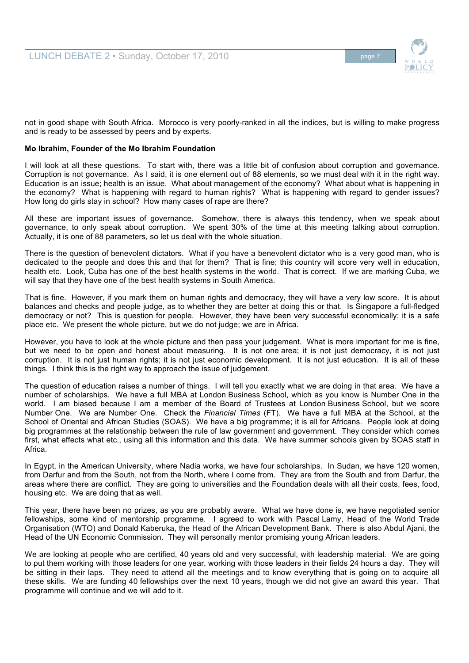

not in good shape with South Africa. Morocco is very poorly-ranked in all the indices, but is willing to make progress and is ready to be assessed by peers and by experts.

## **Mo Ibrahim, Founder of the Mo Ibrahim Foundation**

I will look at all these questions. To start with, there was a little bit of confusion about corruption and governance. Corruption is not governance. As I said, it is one element out of 88 elements, so we must deal with it in the right way. Education is an issue; health is an issue. What about management of the economy? What about what is happening in the economy? What is happening with regard to human rights? What is happening with regard to gender issues? How long do girls stay in school? How many cases of rape are there?

All these are important issues of governance. Somehow, there is always this tendency, when we speak about governance, to only speak about corruption. We spent 30% of the time at this meeting talking about corruption. Actually, it is one of 88 parameters, so let us deal with the whole situation.

There is the question of benevolent dictators. What if you have a benevolent dictator who is a very good man, who is dedicated to the people and does this and that for them? That is fine; this country will score very well in education, health etc. Look, Cuba has one of the best health systems in the world. That is correct. If we are marking Cuba, we will say that they have one of the best health systems in South America.

That is fine. However, if you mark them on human rights and democracy, they will have a very low score. It is about balances and checks and people judge, as to whether they are better at doing this or that. Is Singapore a full-fledged democracy or not? This is question for people. However, they have been very successful economically; it is a safe place etc. We present the whole picture, but we do not judge; we are in Africa.

However, you have to look at the whole picture and then pass your judgement. What is more important for me is fine, but we need to be open and honest about measuring. It is not one area; it is not just democracy, it is not just corruption. It is not just human rights; it is not just economic development. It is not just education. It is all of these things. I think this is the right way to approach the issue of judgement.

The question of education raises a number of things. I will tell you exactly what we are doing in that area. We have a number of scholarships. We have a full MBA at London Business School, which as you know is Number One in the world. I am biased because I am a member of the Board of Trustees at London Business School, but we score Number One. We are Number One. Check the *Financial Times* (FT). We have a full MBA at the School, at the School of Oriental and African Studies (SOAS). We have a big programme; it is all for Africans. People look at doing big programmes at the relationship between the rule of law government and government. They consider which comes first, what effects what etc., using all this information and this data. We have summer schools given by SOAS staff in Africa.

In Egypt, in the American University, where Nadia works, we have four scholarships. In Sudan, we have 120 women, from Darfur and from the South, not from the North, where I come from. They are from the South and from Darfur, the areas where there are conflict. They are going to universities and the Foundation deals with all their costs, fees, food, housing etc. We are doing that as well.

This year, there have been no prizes, as you are probably aware. What we have done is, we have negotiated senior fellowships, some kind of mentorship programme. I agreed to work with Pascal Lamy, Head of the World Trade Organisation (WTO) and Donald Kaberuka, the Head of the African Development Bank. There is also Abdul Ajani, the Head of the UN Economic Commission. They will personally mentor promising young African leaders.

We are looking at people who are certified, 40 years old and very successful, with leadership material. We are going to put them working with those leaders for one year, working with those leaders in their fields 24 hours a day. They will be sitting in their laps. They need to attend all the meetings and to know everything that is going on to acquire all these skills. We are funding 40 fellowships over the next 10 years, though we did not give an award this year. That programme will continue and we will add to it.